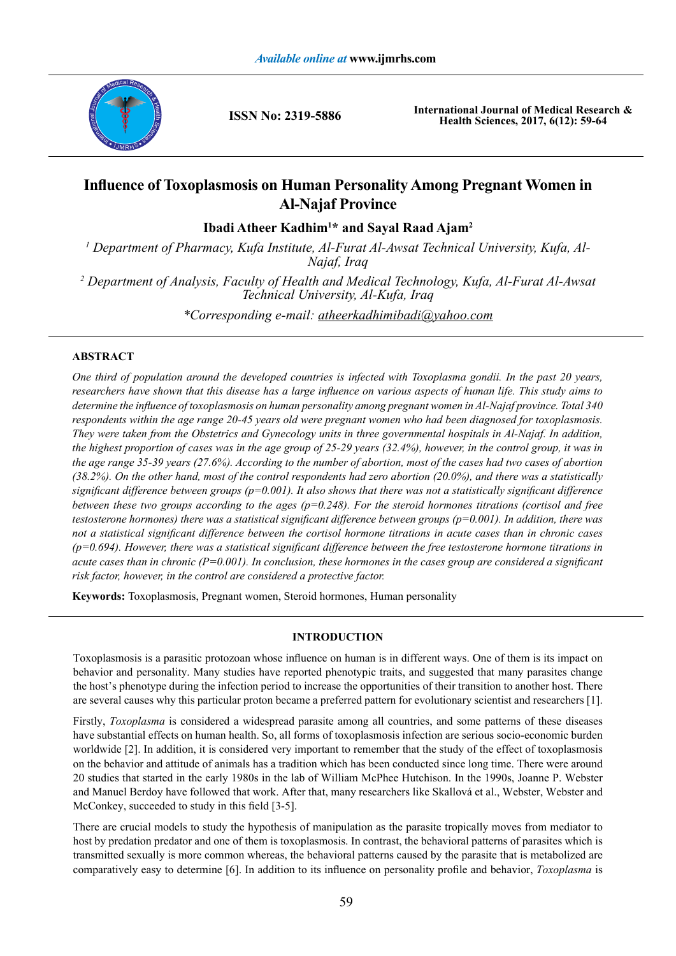

**ISSN No: 2319-5886**

**International Journal of Medical Research & Health Sciences, 2017, 6(12): 59-64**

# **Influence of Toxoplasmosis on Human Personality Among Pregnant Women in Al-Najaf Province**

**Ibadi Atheer Kadhim<sup>1</sup> \* and Sayal Raad Ajam<sup>2</sup>**

<sup>1</sup> Department of Pharmacy, Kufa Institute, Al-Furat Al-Awsat Technical University, Kufa, Al-*Najaf, Iraq*

*2 Department of Analysis, Faculty of Health and Medical Technology, Kufa, Al-Furat Al-Awsat Technical University, Al-Kufa, Iraq*

*\*Corresponding e-mail: atheerkadhimibadi@yahoo.com*

# **ABSTRACT**

*One third of population around the developed countries is infected with Toxoplasma gondii. In the past 20 years, researchers have shown that this disease has a large influence on various aspects of human life. This study aims to determine the influence of toxoplasmosis on human personality among pregnant women in Al-Najaf province. Total 340 respondents within the age range 20-45 years old were pregnant women who had been diagnosed for toxoplasmosis. They were taken from the Obstetrics and Gynecology units in three governmental hospitals in Al-Najaf. In addition, the highest proportion of cases was in the age group of 25-29 years (32.4%), however, in the control group, it was in the age range 35-39 years (27.6%). According to the number of abortion, most of the cases had two cases of abortion (38.2%). On the other hand, most of the control respondents had zero abortion (20.0%), and there was a statistically significant difference between groups (p=0.001). It also shows that there was not a statistically significant difference between these two groups according to the ages (p=0.248). For the steroid hormones titrations (cortisol and free testosterone hormones) there was a statistical significant difference between groups (p=0.001). In addition, there was not a statistical significant difference between the cortisol hormone titrations in acute cases than in chronic cases (p=0.694). However, there was a statistical significant difference between the free testosterone hormone titrations in acute cases than in chronic (P=0.001). In conclusion, these hormones in the cases group are considered a significant risk factor, however, in the control are considered a protective factor.* 

**Keywords:** Toxoplasmosis, Pregnant women, Steroid hormones, Human personality

# **INTRODUCTION**

Toxoplasmosis is a parasitic protozoan whose influence on human is in different ways. One of them is its impact on behavior and personality. Many studies have reported phenotypic traits, and suggested that many parasites change the host's phenotype during the infection period to increase the opportunities of their transition to another host. There are several causes why this particular proton became a preferred pattern for evolutionary scientist and researchers [1].

Firstly, *Toxoplasma* is considered a widespread parasite among all countries, and some patterns of these diseases have substantial effects on human health. So, all forms of toxoplasmosis infection are serious socio-economic burden worldwide [2]. In addition, it is considered very important to remember that the study of the effect of toxoplasmosis on the behavior and attitude of animals has a tradition which has been conducted since long time. There were around 20 studies that started in the early 1980s in the lab of William McPhee Hutchison. In the 1990s, Joanne P. Webster and Manuel Berdoy have followed that work. After that, many researchers like Skallová et al., Webster, Webster and McConkey, succeeded to study in this field [3-5].

There are crucial models to study the hypothesis of manipulation as the parasite tropically moves from mediator to host by predation predator and one of them is toxoplasmosis. In contrast, the behavioral patterns of parasites which is transmitted sexually is more common whereas, the behavioral patterns caused by the parasite that is metabolized are comparatively easy to determine [6]. In addition to its influence on personality profile and behavior, *Toxoplasma* is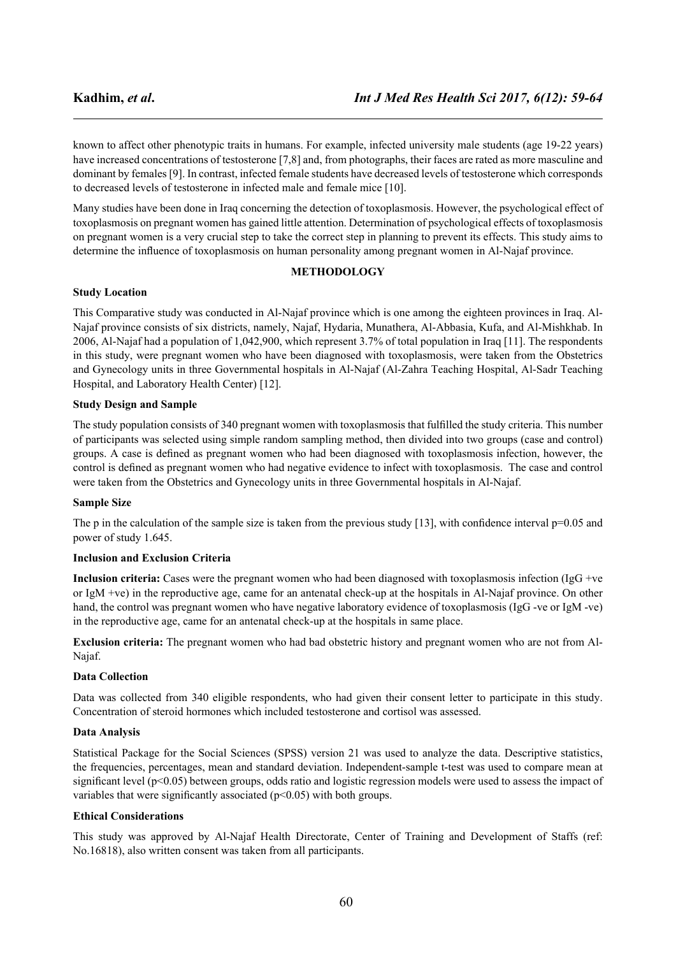known to affect other phenotypic traits in humans. For example, infected university male students (age 19-22 years) have increased concentrations of testosterone [7,8] and, from photographs, their faces are rated as more masculine and dominant by females [9]. In contrast, infected female students have decreased levels of testosterone which corresponds to decreased levels of testosterone in infected male and female mice [10].

Many studies have been done in Iraq concerning the detection of toxoplasmosis. However, the psychological effect of toxoplasmosis on pregnant women has gained little attention. Determination of psychological effects of toxoplasmosis on pregnant women is a very crucial step to take the correct step in planning to prevent its effects. This study aims to determine the influence of toxoplasmosis on human personality among pregnant women in Al-Najaf province.

### **METHODOLOGY**

#### **Study Location**

This Comparative study was conducted in Al-Najaf province which is one among the eighteen provinces in Iraq. Al-Najaf province consists of six districts, namely, Najaf, Hydaria, Munathera, Al-Abbasia, Kufa, and Al-Mishkhab. In 2006, Al-Najaf had a population of 1,042,900, which represent 3.7% of total population in Iraq [11]. The respondents in this study, were pregnant women who have been diagnosed with toxoplasmosis, were taken from the Obstetrics and Gynecology units in three Governmental hospitals in Al-Najaf (Al-Zahra Teaching Hospital, Al-Sadr Teaching Hospital, and Laboratory Health Center) [12].

### **Study Design and Sample**

The study population consists of 340 pregnant women with toxoplasmosis that fulfilled the study criteria. This number of participants was selected using simple random sampling method, then divided into two groups (case and control) groups. A case is defined as pregnant women who had been diagnosed with toxoplasmosis infection, however, the control is defined as pregnant women who had negative evidence to infect with toxoplasmosis. The case and control were taken from the Obstetrics and Gynecology units in three Governmental hospitals in Al-Najaf.

#### **Sample Size**

The p in the calculation of the sample size is taken from the previous study  $[13]$ , with confidence interval  $p=0.05$  and power of study 1.645.

#### **Inclusion and Exclusion Criteria**

**Inclusion criteria:** Cases were the pregnant women who had been diagnosed with toxoplasmosis infection (IgG +ve or IgM +ve) in the reproductive age, came for an antenatal check-up at the hospitals in Al-Najaf province. On other hand, the control was pregnant women who have negative laboratory evidence of toxoplasmosis (IgG -ve or IgM -ve) in the reproductive age, came for an antenatal check-up at the hospitals in same place.

**Exclusion criteria:** The pregnant women who had bad obstetric history and pregnant women who are not from Al-Najaf.

#### **Data Collection**

Data was collected from 340 eligible respondents, who had given their consent letter to participate in this study. Concentration of steroid hormones which included testosterone and cortisol was assessed.

#### **Data Analysis**

Statistical Package for the Social Sciences (SPSS) version 21 was used to analyze the data. Descriptive statistics, the frequencies, percentages, mean and standard deviation. Independent-sample t-test was used to compare mean at significant level (p<0.05) between groups, odds ratio and logistic regression models were used to assess the impact of variables that were significantly associated ( $p<0.05$ ) with both groups.

#### **Ethical Considerations**

This study was approved by Al-Najaf Health Directorate, Center of Training and Development of Staffs (ref: No.16818), also written consent was taken from all participants.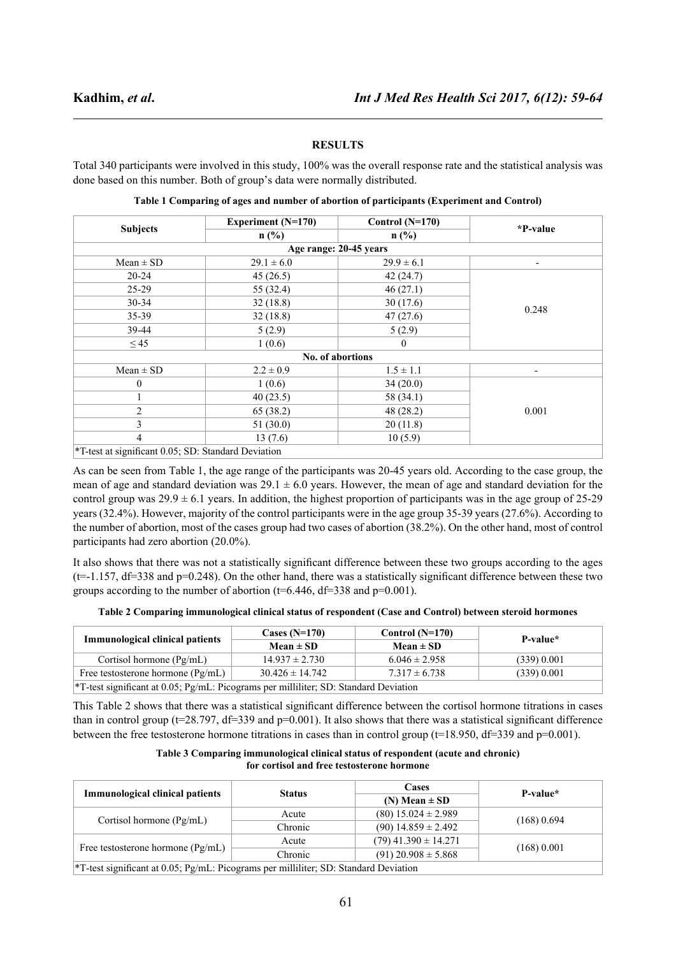#### **RESULTS**

Total 340 participants were involved in this study, 100% was the overall response rate and the statistical analysis was done based on this number. Both of group's data were normally distributed.

|                 | <b>Experiment (N=170)</b> | Control $(N=170)$ | *P-value                 |  |
|-----------------|---------------------------|-------------------|--------------------------|--|
| <b>Subjects</b> | $n$ (%)                   | $n$ (%)           |                          |  |
|                 | Age range: 20-45 years    |                   |                          |  |
| $Mean \pm SD$   | $29.1 \pm 6.0$            | $29.9 \pm 6.1$    | $\overline{\phantom{a}}$ |  |
| $20 - 24$       | 45(26.5)                  | 42(24.7)          | 0.248                    |  |
| $25-29$         | 55 (32.4)                 | 46(27.1)          |                          |  |
| $30 - 34$       | 32(18.8)                  | 30(17.6)          |                          |  |
| $35 - 39$       | 32(18.8)                  | 47(27.6)          |                          |  |
| 39-44           | 5(2.9)                    | 5(2.9)            |                          |  |
| $\leq$ 45       | 1(0.6)                    | $\theta$          |                          |  |
|                 | No. of abortions          |                   |                          |  |
| $Mean \pm SD$   | $2.2 \pm 0.9$             | $1.5 \pm 1.1$     | $\overline{\phantom{a}}$ |  |
| $\theta$        | 1(0.6)                    | 34(20.0)          | 0.001                    |  |
|                 | 40(23.5)                  | 58 (34.1)         |                          |  |
| $\overline{2}$  | 65 (38.2)                 | 48 (28.2)         |                          |  |
| 3               | 51(30.0)                  | 20(11.8)          |                          |  |
| 4               | 13(7.6)                   | 10(5.9)           |                          |  |

**Table 1 Comparing of ages and number of abortion of participants (Experiment and Control)**

\*T-test at significant 0.05; SD: Standard Deviation

As can be seen from Table 1, the age range of the participants was 20-45 years old. According to the case group, the mean of age and standard deviation was  $29.1 \pm 6.0$  years. However, the mean of age and standard deviation for the control group was  $29.9 \pm 6.1$  years. In addition, the highest proportion of participants was in the age group of 25-29 years (32.4%). However, majority of the control participants were in the age group 35-39 years (27.6%). According to the number of abortion, most of the cases group had two cases of abortion (38.2%). On the other hand, most of control participants had zero abortion (20.0%).

It also shows that there was not a statistically significant difference between these two groups according to the ages  $(t=1.157, df=338$  and  $p=0.248$ ). On the other hand, there was a statistically significant difference between these two groups according to the number of abortion ( $t=6.446$ ,  $df=338$  and  $p=0.001$ ).

|  |  |  | Table 2 Comparing immunological clinical status of respondent (Case and Control) between steroid hormones |
|--|--|--|-----------------------------------------------------------------------------------------------------------|
|  |  |  |                                                                                                           |

| <b>Immunological clinical patients</b>                                                              | Cases $(N=170)$<br>Mean $\pm$ SD | Control $(N=170)$<br>Mean $\pm$ SD | P-value*    |
|-----------------------------------------------------------------------------------------------------|----------------------------------|------------------------------------|-------------|
| Cortisol hormone $(\text{Pg/mL})$                                                                   | $14.937 \pm 2.730$               | $6.046 \pm 2.958$                  | (339) 0.001 |
| Free testosterone hormone $(\text{Pg/mL})$                                                          | $30.426 \pm 14.742$              | $7.317 \pm 6.738$                  | (339) 0.001 |
| <sup>*</sup> T-test significant at 0.05; $Pg/mL$ : Picograms per milliliter; SD: Standard Deviation |                                  |                                    |             |

This Table 2 shows that there was a statistical significant difference between the cortisol hormone titrations in cases than in control group ( $t=28.797$ ,  $df=339$  and  $p=0.001$ ). It also shows that there was a statistical significant difference between the free testosterone hormone titrations in cases than in control group ( $t=18.950$ ,  $df=339$  and  $p=0.001$ ).

**Table 3 Comparing immunological clinical status of respondent (acute and chronic) for cortisol and free testosterone hormone**

|                                                                                                  | <b>Status</b> | <b>Cases</b>               | P-value*      |  |
|--------------------------------------------------------------------------------------------------|---------------|----------------------------|---------------|--|
| <b>Immunological clinical patients</b>                                                           |               | $(N) Mean \pm SD$          |               |  |
| Cortisol hormone $(Pg/mL)$                                                                       | Acute         | $(80)$ 15.024 $\pm$ 2.989  |               |  |
|                                                                                                  | Chronic       | $(90)$ 14.859 ± 2.492      | $(168)$ 0.694 |  |
| Free testosterone hormone (Pg/mL)                                                                | Acute         | $(79)$ 41.390 $\pm$ 14.271 | (168) 0.001   |  |
|                                                                                                  | Chronic       | $(91)$ 20.908 $\pm$ 5.868  |               |  |
| <sup>*</sup> T-test significant at 0.05; Pg/mL: Picograms per milliliter; SD: Standard Deviation |               |                            |               |  |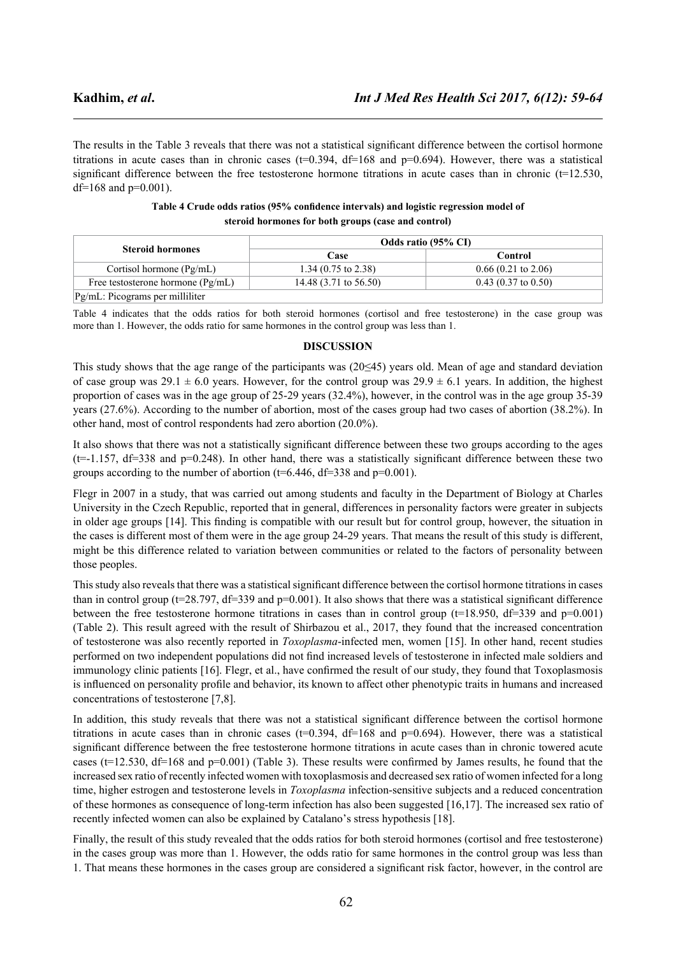The results in the Table 3 reveals that there was not a statistical significant difference between the cortisol hormone titrations in acute cases than in chronic cases ( $t=0.394$ ,  $df=168$  and  $p=0.694$ ). However, there was a statistical significant difference between the free testosterone hormone titrations in acute cases than in chronic  $(t=12.530)$ , df=168 and  $p=0.001$ ).

|                                            | Odds ratio (95% CI)              |                               |  |
|--------------------------------------------|----------------------------------|-------------------------------|--|
| <b>Steroid hormones</b>                    | Case                             | Control                       |  |
| Cortisol hormone $(Pg/mL)$                 | 1.34 $(0.75 \text{ to } 2.38)$   | $0.66(0.21 \text{ to } 2.06)$ |  |
| Free testosterone hormone $(\text{Pg/mL})$ | 14.48 $(3.71 \text{ to } 56.50)$ | $0.43$ (0.37 to 0.50)         |  |
| Pg/mL: Picograms per milliliter            |                                  |                               |  |

| Table 4 Crude odds ratios (95% confidence intervals) and logistic regression model of |
|---------------------------------------------------------------------------------------|
| steroid hormones for both groups (case and control)                                   |

Table 4 indicates that the odds ratios for both steroid hormones (cortisol and free testosterone) in the case group was more than 1. However, the odds ratio for same hormones in the control group was less than 1.

#### **DISCUSSION**

This study shows that the age range of the participants was (20≤45) years old. Mean of age and standard deviation of case group was  $29.1 \pm 6.0$  years. However, for the control group was  $29.9 \pm 6.1$  years. In addition, the highest proportion of cases was in the age group of 25-29 years (32.4%), however, in the control was in the age group 35-39 years (27.6%). According to the number of abortion, most of the cases group had two cases of abortion (38.2%). In other hand, most of control respondents had zero abortion (20.0%).

It also shows that there was not a statistically significant difference between these two groups according to the ages  $(t=1.157, df=338$  and  $p=0.248$ ). In other hand, there was a statistically significant difference between these two groups according to the number of abortion ( $t=6.446$ ,  $df=338$  and  $p=0.001$ ).

Flegr in 2007 in a study, that was carried out among students and faculty in the Department of Biology at Charles University in the Czech Republic, reported that in general, differences in personality factors were greater in subjects in older age groups [14]. This finding is compatible with our result but for control group, however, the situation in the cases is different most of them were in the age group 24-29 years. That means the result of this study is different, might be this difference related to variation between communities or related to the factors of personality between those peoples.

This study also reveals that there was a statistical significant difference between the cortisol hormone titrations in cases than in control group ( $t=28.797$ ,  $df=339$  and  $p=0.001$ ). It also shows that there was a statistical significant difference between the free testosterone hormone titrations in cases than in control group (t=18.950, df=339 and p=0.001) (Table 2). This result agreed with the result of Shirbazou et al., 2017, they found that the increased concentration of testosterone was also recently reported in *Toxoplasma*-infected men, women [15]. In other hand, recent studies performed on two independent populations did not find increased levels of testosterone in infected male soldiers and immunology clinic patients [16]. Flegr, et al., have confirmed the result of our study, they found that Toxoplasmosis is influenced on personality profile and behavior, its known to affect other phenotypic traits in humans and increased concentrations of testosterone [7,8].

In addition, this study reveals that there was not a statistical significant difference between the cortisol hormone titrations in acute cases than in chronic cases ( $t=0.394$ ,  $df=168$  and  $p=0.694$ ). However, there was a statistical significant difference between the free testosterone hormone titrations in acute cases than in chronic towered acute cases ( $t=12.530$ ,  $df=168$  and  $p=0.001$ ) (Table 3). These results were confirmed by James results, he found that the increased sex ratio of recently infected women with toxoplasmosis and decreased sex ratio of women infected for a long time, higher estrogen and testosterone levels in *Toxoplasma* infection-sensitive subjects and a reduced concentration of these hormones as consequence of long-term infection has also been suggested [16,17]. The increased sex ratio of recently infected women can also be explained by Catalano's stress hypothesis [18].

Finally, the result of this study revealed that the odds ratios for both steroid hormones (cortisol and free testosterone) in the cases group was more than 1. However, the odds ratio for same hormones in the control group was less than 1. That means these hormones in the cases group are considered a significant risk factor, however, in the control are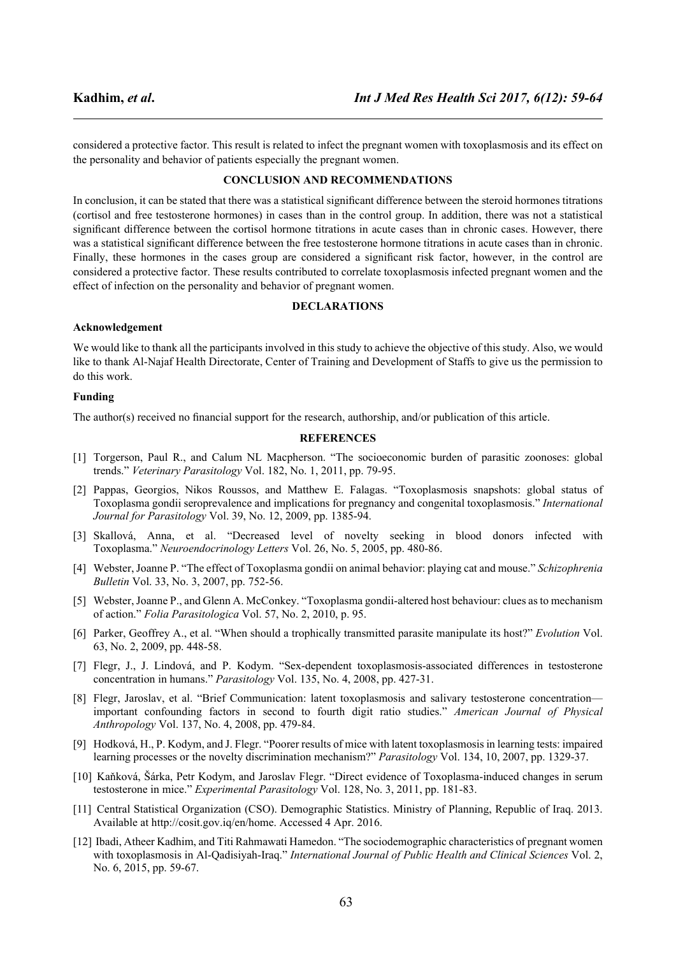considered a protective factor. This result is related to infect the pregnant women with toxoplasmosis and its effect on the personality and behavior of patients especially the pregnant women.

### **CONCLUSION AND RECOMMENDATIONS**

In conclusion, it can be stated that there was a statistical significant difference between the steroid hormones titrations (cortisol and free testosterone hormones) in cases than in the control group. In addition, there was not a statistical significant difference between the cortisol hormone titrations in acute cases than in chronic cases. However, there was a statistical significant difference between the free testosterone hormone titrations in acute cases than in chronic. Finally, these hormones in the cases group are considered a significant risk factor, however, in the control are considered a protective factor. These results contributed to correlate toxoplasmosis infected pregnant women and the effect of infection on the personality and behavior of pregnant women.

#### **DECLARATIONS**

#### **Acknowledgement**

We would like to thank all the participants involved in this study to achieve the objective of this study. Also, we would like to thank Al-Najaf Health Directorate, Center of Training and Development of Staffs to give us the permission to do this work.

#### **Funding**

The author(s) received no financial support for the research, authorship, and/or publication of this article.

#### **REFERENCES**

- [1] Torgerson, Paul R., and Calum NL Macpherson. "The socioeconomic burden of parasitic zoonoses: global trends." *Veterinary Parasitology* Vol. 182, No. 1, 2011, pp. 79-95.
- [2] Pappas, Georgios, Nikos Roussos, and Matthew E. Falagas. "Toxoplasmosis snapshots: global status of Toxoplasma gondii seroprevalence and implications for pregnancy and congenital toxoplasmosis." *International Journal for Parasitology* Vol. 39, No. 12, 2009, pp. 1385-94.
- [3] Skallová, Anna, et al. "Decreased level of novelty seeking in blood donors infected with Toxoplasma." *Neuroendocrinology Letters* Vol. 26, No. 5, 2005, pp. 480-86.
- [4] Webster, Joanne P. "The effect of Toxoplasma gondii on animal behavior: playing cat and mouse." *Schizophrenia Bulletin* Vol. 33, No. 3, 2007, pp. 752-56.
- [5] Webster, Joanne P., and Glenn A. McConkey. "Toxoplasma gondii-altered host behaviour: clues as to mechanism of action." *Folia Parasitologica* Vol. 57, No. 2, 2010, p. 95.
- [6] Parker, Geoffrey A., et al. "When should a trophically transmitted parasite manipulate its host?" *Evolution* Vol. 63, No. 2, 2009, pp. 448-58.
- [7] Flegr, J., J. Lindová, and P. Kodym. "Sex-dependent toxoplasmosis-associated differences in testosterone concentration in humans." *Parasitology* Vol. 135, No. 4, 2008, pp. 427-31.
- [8] Flegr, Jaroslav, et al. "Brief Communication: latent toxoplasmosis and salivary testosterone concentration important confounding factors in second to fourth digit ratio studies." *American Journal of Physical Anthropology* Vol. 137, No. 4, 2008, pp. 479-84.
- [9] Hodková, H., P. Kodym, and J. Flegr. "Poorer results of mice with latent toxoplasmosis in learning tests: impaired learning processes or the novelty discrimination mechanism?" *Parasitology* Vol. 134, 10, 2007, pp. 1329-37.
- [10] Kaňková, Šárka, Petr Kodym, and Jaroslav Flegr. "Direct evidence of Toxoplasma-induced changes in serum testosterone in mice." *Experimental Parasitology* Vol. 128, No. 3, 2011, pp. 181-83.
- [11] Central Statistical Organization (CSO). Demographic Statistics. Ministry of Planning, Republic of Iraq. 2013. Available at http://cosit.gov.iq/en/home. Accessed 4 Apr. 2016.
- [12] Ibadi, Atheer Kadhim, and Titi Rahmawati Hamedon. "The sociodemographic characteristics of pregnant women with toxoplasmosis in Al-Qadisiyah-Iraq." *International Journal of Public Health and Clinical Sciences* Vol. 2, No. 6, 2015, pp. 59-67.